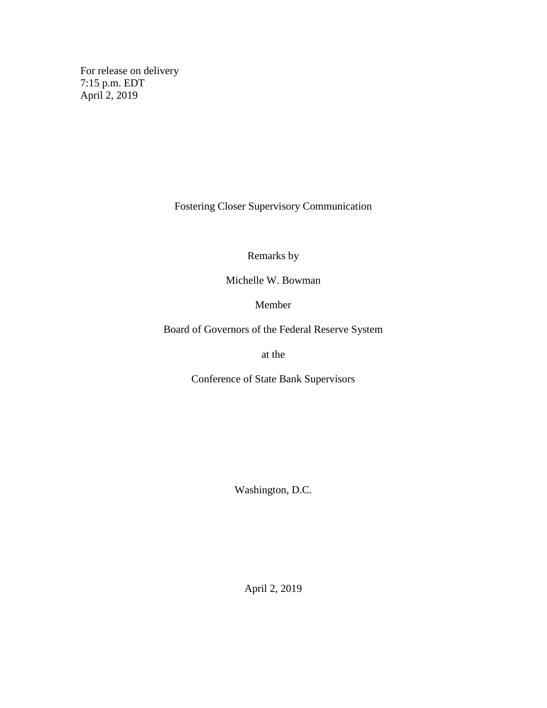For release on delivery 7:15 p.m. EDT April 2, 2019

Fostering Closer Supervisory Communication

Remarks by

Michelle W. Bowman

Member

Board of Governors of the Federal Reserve System

at the

Conference of State Bank Supervisors

Washington, D.C.

April 2, 2019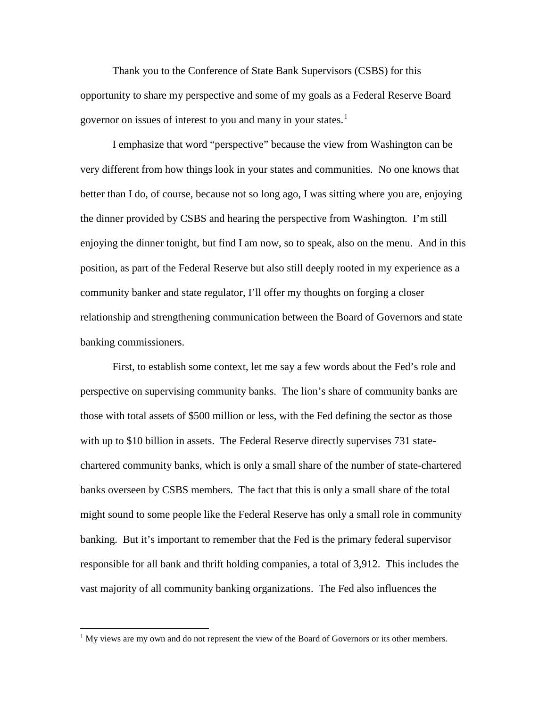Thank you to the Conference of State Bank Supervisors (CSBS) for this opportunity to share my perspective and some of my goals as a Federal Reserve Board governor on issues of interest to you and many in your states.<sup>[1](#page-1-0)</sup>

I emphasize that word "perspective" because the view from Washington can be very different from how things look in your states and communities. No one knows that better than I do, of course, because not so long ago, I was sitting where you are, enjoying the dinner provided by CSBS and hearing the perspective from Washington. I'm still enjoying the dinner tonight, but find I am now, so to speak, also on the menu. And in this position, as part of the Federal Reserve but also still deeply rooted in my experience as a community banker and state regulator, I'll offer my thoughts on forging a closer relationship and strengthening communication between the Board of Governors and state banking commissioners.

First, to establish some context, let me say a few words about the Fed's role and perspective on supervising community banks. The lion's share of community banks are those with total assets of \$500 million or less, with the Fed defining the sector as those with up to \$10 billion in assets. The Federal Reserve directly supervises 731 statechartered community banks, which is only a small share of the number of state-chartered banks overseen by CSBS members. The fact that this is only a small share of the total might sound to some people like the Federal Reserve has only a small role in community banking. But it's important to remember that the Fed is the primary federal supervisor responsible for all bank and thrift holding companies, a total of 3,912. This includes the vast majority of all community banking organizations. The Fed also influences the

<span id="page-1-0"></span> $<sup>1</sup>$  My views are my own and do not represent the view of the Board of Governors or its other members.</sup>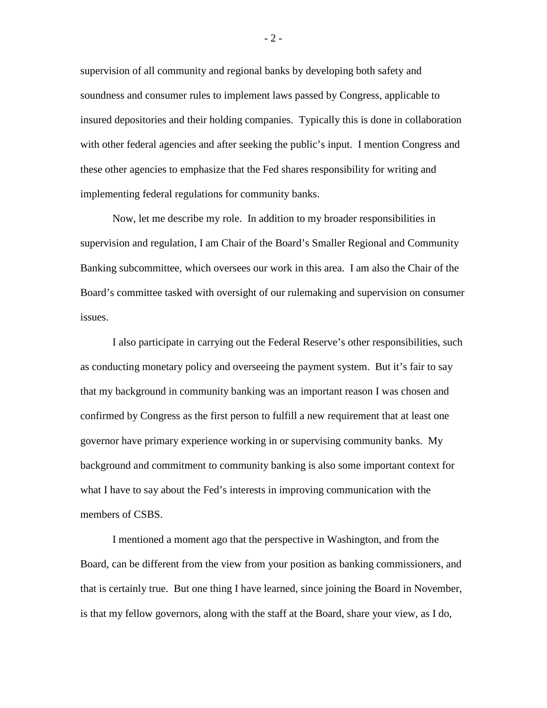supervision of all community and regional banks by developing both safety and soundness and consumer rules to implement laws passed by Congress, applicable to insured depositories and their holding companies. Typically this is done in collaboration with other federal agencies and after seeking the public's input. I mention Congress and these other agencies to emphasize that the Fed shares responsibility for writing and implementing federal regulations for community banks.

Now, let me describe my role. In addition to my broader responsibilities in supervision and regulation, I am Chair of the Board's Smaller Regional and Community Banking subcommittee, which oversees our work in this area. I am also the Chair of the Board's committee tasked with oversight of our rulemaking and supervision on consumer issues.

I also participate in carrying out the Federal Reserve's other responsibilities, such as conducting monetary policy and overseeing the payment system. But it's fair to say that my background in community banking was an important reason I was chosen and confirmed by Congress as the first person to fulfill a new requirement that at least one governor have primary experience working in or supervising community banks. My background and commitment to community banking is also some important context for what I have to say about the Fed's interests in improving communication with the members of CSBS.

I mentioned a moment ago that the perspective in Washington, and from the Board, can be different from the view from your position as banking commissioners, and that is certainly true. But one thing I have learned, since joining the Board in November, is that my fellow governors, along with the staff at the Board, share your view, as I do,

- 2 -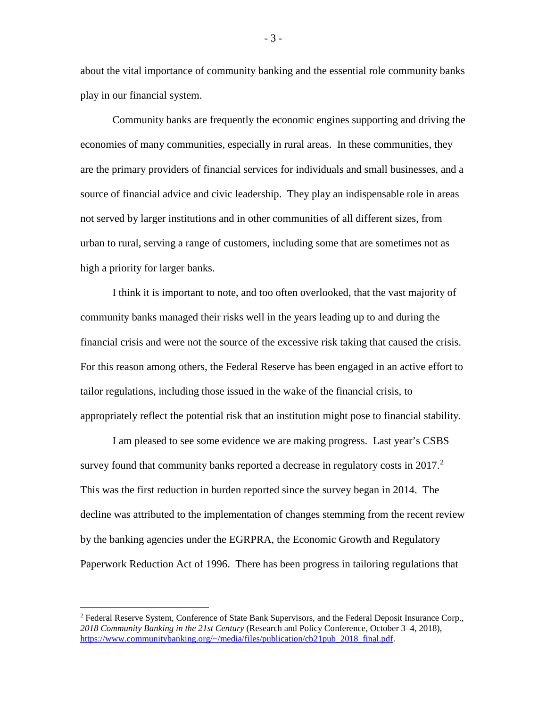about the vital importance of community banking and the essential role community banks play in our financial system.

Community banks are frequently the economic engines supporting and driving the economies of many communities, especially in rural areas. In these communities, they are the primary providers of financial services for individuals and small businesses, and a source of financial advice and civic leadership. They play an indispensable role in areas not served by larger institutions and in other communities of all different sizes, from urban to rural, serving a range of customers, including some that are sometimes not as high a priority for larger banks.

I think it is important to note, and too often overlooked, that the vast majority of community banks managed their risks well in the years leading up to and during the financial crisis and were not the source of the excessive risk taking that caused the crisis. For this reason among others, the Federal Reserve has been engaged in an active effort to tailor regulations, including those issued in the wake of the financial crisis, to appropriately reflect the potential risk that an institution might pose to financial stability.

I am pleased to see some evidence we are making progress. Last year's CSBS survey found that community banks reported a decrease in regulatory costs in  $2017<sup>2</sup>$  $2017<sup>2</sup>$ This was the first reduction in burden reported since the survey began in 2014. The decline was attributed to the implementation of changes stemming from the recent review by the banking agencies under the EGRPRA, the Economic Growth and Regulatory Paperwork Reduction Act of 1996. There has been progress in tailoring regulations that

- 3 -

<span id="page-3-0"></span><sup>&</sup>lt;sup>2</sup> Federal Reserve System, Conference of State Bank Supervisors, and the Federal Deposit Insurance Corp., *2018 Community Banking in the 21st Century* (Research and Policy Conference, October 3–4, 2018), [https://www.communitybanking.org/~/media/files/publication/cb21pub\\_2018\\_final.pdf.](https://www.communitybanking.org/%7E/media/files/publication/cb21pub_2018_final.pdf)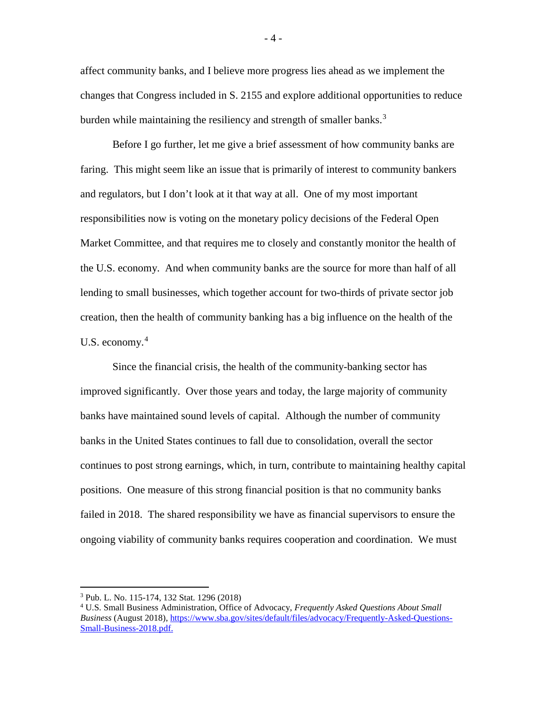affect community banks, and I believe more progress lies ahead as we implement the changes that Congress included in S. 2155 and explore additional opportunities to reduce burden while maintaining the resiliency and strength of smaller banks.<sup>[3](#page-4-0)</sup>

Before I go further, let me give a brief assessment of how community banks are faring. This might seem like an issue that is primarily of interest to community bankers and regulators, but I don't look at it that way at all. One of my most important responsibilities now is voting on the monetary policy decisions of the Federal Open Market Committee, and that requires me to closely and constantly monitor the health of the U.S. economy. And when community banks are the source for more than half of all lending to small businesses, which together account for two-thirds of private sector job creation, then the health of community banking has a big influence on the health of the U.S. economy. $4$ 

Since the financial crisis, the health of the community-banking sector has improved significantly. Over those years and today, the large majority of community banks have maintained sound levels of capital. Although the number of community banks in the United States continues to fall due to consolidation, overall the sector continues to post strong earnings, which, in turn, contribute to maintaining healthy capital positions. One measure of this strong financial position is that no community banks failed in 2018. The shared responsibility we have as financial supervisors to ensure the ongoing viability of community banks requires cooperation and coordination. We must

- 4 -

<span id="page-4-0"></span> <sup>3</sup> Pub. L. No. 115-174, 132 Stat. 1296 (2018)

<span id="page-4-1"></span><sup>4</sup> U.S. Small Business Administration, Office of Advocacy, *Frequently Asked Questions About Small Business* (August 2018)[, https://www.sba.gov/sites/default/files/advocacy/Frequently-Asked-Questions-](https://www.sba.gov/sites/default/files/advocacy/Frequently-Asked-Questions-Small-Business-2018.pdf)[Small-Business-2018.pdf.](https://www.sba.gov/sites/default/files/advocacy/Frequently-Asked-Questions-Small-Business-2018.pdf)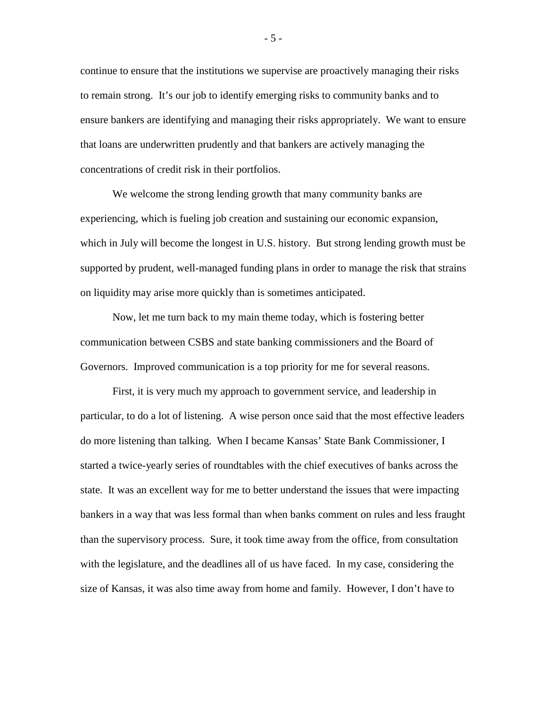continue to ensure that the institutions we supervise are proactively managing their risks to remain strong. It's our job to identify emerging risks to community banks and to ensure bankers are identifying and managing their risks appropriately. We want to ensure that loans are underwritten prudently and that bankers are actively managing the concentrations of credit risk in their portfolios.

We welcome the strong lending growth that many community banks are experiencing, which is fueling job creation and sustaining our economic expansion, which in July will become the longest in U.S. history. But strong lending growth must be supported by prudent, well-managed funding plans in order to manage the risk that strains on liquidity may arise more quickly than is sometimes anticipated.

Now, let me turn back to my main theme today, which is fostering better communication between CSBS and state banking commissioners and the Board of Governors. Improved communication is a top priority for me for several reasons.

First, it is very much my approach to government service, and leadership in particular, to do a lot of listening. A wise person once said that the most effective leaders do more listening than talking. When I became Kansas' State Bank Commissioner, I started a twice-yearly series of roundtables with the chief executives of banks across the state. It was an excellent way for me to better understand the issues that were impacting bankers in a way that was less formal than when banks comment on rules and less fraught than the supervisory process. Sure, it took time away from the office, from consultation with the legislature, and the deadlines all of us have faced. In my case, considering the size of Kansas, it was also time away from home and family. However, I don't have to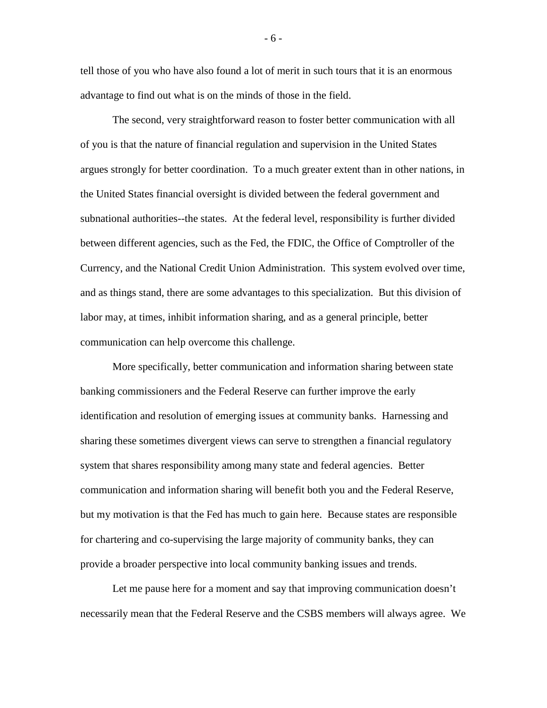tell those of you who have also found a lot of merit in such tours that it is an enormous advantage to find out what is on the minds of those in the field.

The second, very straightforward reason to foster better communication with all of you is that the nature of financial regulation and supervision in the United States argues strongly for better coordination. To a much greater extent than in other nations, in the United States financial oversight is divided between the federal government and subnational authorities--the states. At the federal level, responsibility is further divided between different agencies, such as the Fed, the FDIC, the Office of Comptroller of the Currency, and the National Credit Union Administration. This system evolved over time, and as things stand, there are some advantages to this specialization. But this division of labor may, at times, inhibit information sharing, and as a general principle, better communication can help overcome this challenge.

More specifically, better communication and information sharing between state banking commissioners and the Federal Reserve can further improve the early identification and resolution of emerging issues at community banks. Harnessing and sharing these sometimes divergent views can serve to strengthen a financial regulatory system that shares responsibility among many state and federal agencies. Better communication and information sharing will benefit both you and the Federal Reserve, but my motivation is that the Fed has much to gain here. Because states are responsible for chartering and co-supervising the large majority of community banks, they can provide a broader perspective into local community banking issues and trends.

Let me pause here for a moment and say that improving communication doesn't necessarily mean that the Federal Reserve and the CSBS members will always agree. We

- 6 -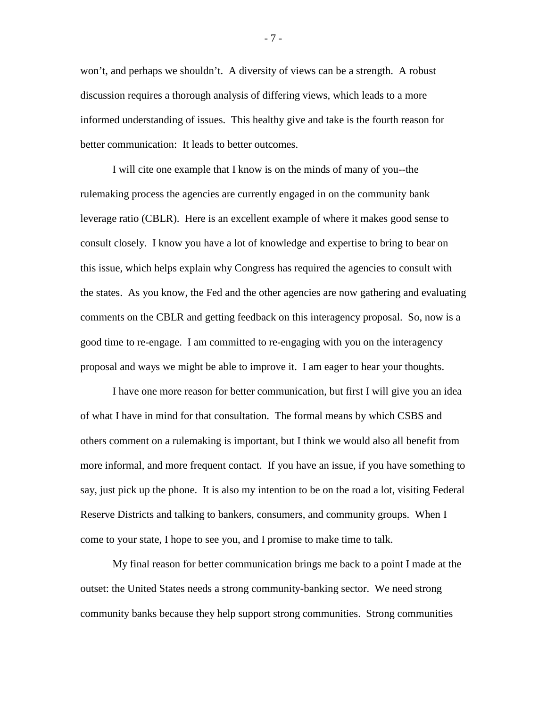won't, and perhaps we shouldn't. A diversity of views can be a strength. A robust discussion requires a thorough analysis of differing views, which leads to a more informed understanding of issues. This healthy give and take is the fourth reason for better communication: It leads to better outcomes.

I will cite one example that I know is on the minds of many of you--the rulemaking process the agencies are currently engaged in on the community bank leverage ratio (CBLR). Here is an excellent example of where it makes good sense to consult closely. I know you have a lot of knowledge and expertise to bring to bear on this issue, which helps explain why Congress has required the agencies to consult with the states. As you know, the Fed and the other agencies are now gathering and evaluating comments on the CBLR and getting feedback on this interagency proposal. So, now is a good time to re-engage. I am committed to re-engaging with you on the interagency proposal and ways we might be able to improve it. I am eager to hear your thoughts.

I have one more reason for better communication, but first I will give you an idea of what I have in mind for that consultation. The formal means by which CSBS and others comment on a rulemaking is important, but I think we would also all benefit from more informal, and more frequent contact. If you have an issue, if you have something to say, just pick up the phone. It is also my intention to be on the road a lot, visiting Federal Reserve Districts and talking to bankers, consumers, and community groups. When I come to your state, I hope to see you, and I promise to make time to talk.

My final reason for better communication brings me back to a point I made at the outset: the United States needs a strong community-banking sector. We need strong community banks because they help support strong communities. Strong communities

- 7 -